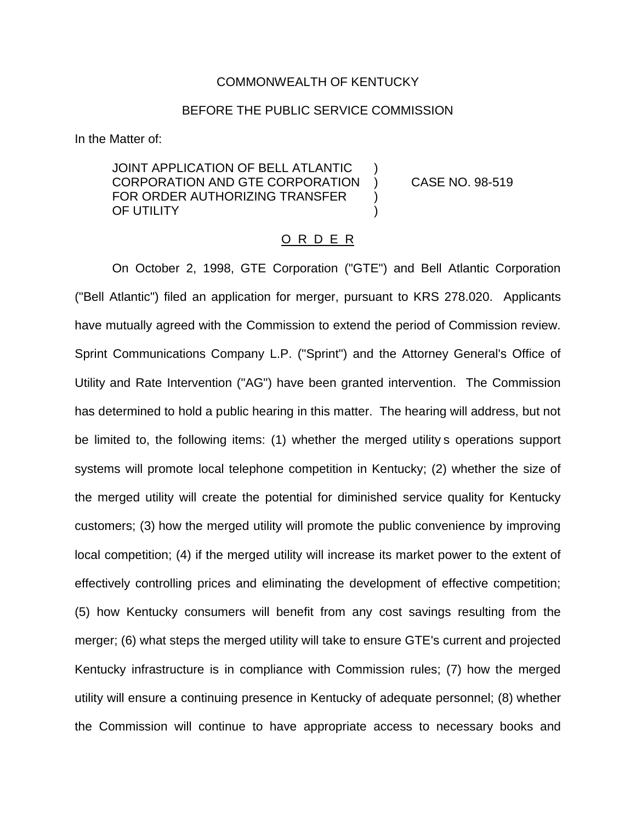## COMMONWEALTH OF KENTUCKY

## BEFORE THE PUBLIC SERVICE COMMISSION

In the Matter of:

JOINT APPLICATION OF BELL ATLANTIC CORPORATION AND GTE CORPORATION ) CASE NO. 98-519 FOR ORDER AUTHORIZING TRANSFER OF UTILITY

## O R D E R

On October 2, 1998, GTE Corporation ("GTE") and Bell Atlantic Corporation ("Bell Atlantic") filed an application for merger, pursuant to KRS 278.020. Applicants have mutually agreed with the Commission to extend the period of Commission review. Sprint Communications Company L.P. ("Sprint") and the Attorney General's Office of Utility and Rate Intervention ("AG") have been granted intervention. The Commission has determined to hold a public hearing in this matter. The hearing will address, but not be limited to, the following items: (1) whether the merged utility s operations support systems will promote local telephone competition in Kentucky; (2) whether the size of the merged utility will create the potential for diminished service quality for Kentucky customers; (3) how the merged utility will promote the public convenience by improving local competition; (4) if the merged utility will increase its market power to the extent of effectively controlling prices and eliminating the development of effective competition; (5) how Kentucky consumers will benefit from any cost savings resulting from the merger; (6) what steps the merged utility will take to ensure GTE's current and projected Kentucky infrastructure is in compliance with Commission rules; (7) how the merged utility will ensure a continuing presence in Kentucky of adequate personnel; (8) whether the Commission will continue to have appropriate access to necessary books and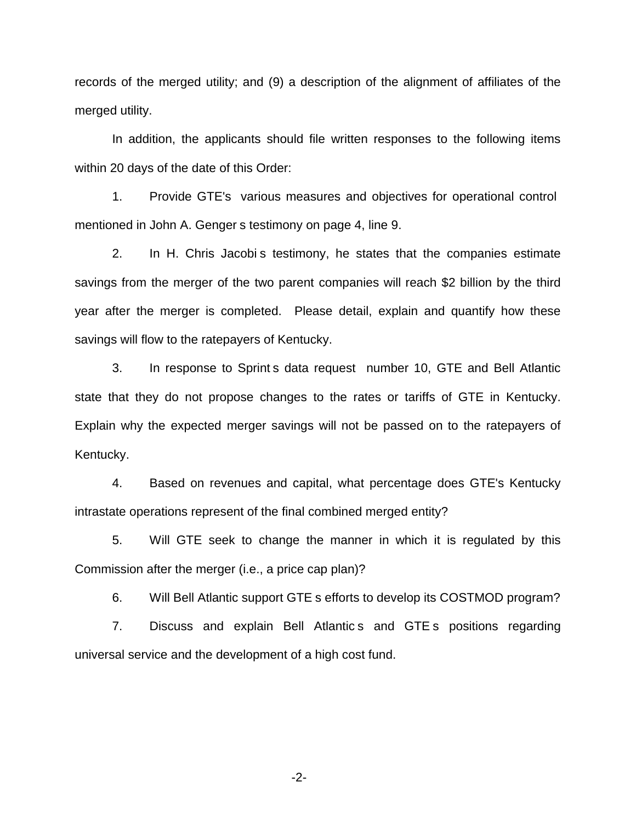records of the merged utility; and (9) a description of the alignment of affiliates of the merged utility.

In addition, the applicants should file written responses to the following items within 20 days of the date of this Order:

1. Provide GTE's various measures and objectives for operational control mentioned in John A. Genger s testimony on page 4, line 9.

2. In H. Chris Jacobi s testimony, he states that the companies estimate savings from the merger of the two parent companies will reach \$2 billion by the third year after the merger is completed. Please detail, explain and quantify how these savings will flow to the ratepayers of Kentucky.

3. In response to Sprint s data request number 10, GTE and Bell Atlantic state that they do not propose changes to the rates or tariffs of GTE in Kentucky. Explain why the expected merger savings will not be passed on to the ratepayers of Kentucky.

4. Based on revenues and capital, what percentage does GTE's Kentucky intrastate operations represent of the final combined merged entity?

5. Will GTE seek to change the manner in which it is regulated by this Commission after the merger (i.e., a price cap plan)?

6. Will Bell Atlantic support GTE s efforts to develop its COSTMOD program?

7. Discuss and explain Bell Atlantic s and GTE s positions regarding universal service and the development of a high cost fund.

-2-